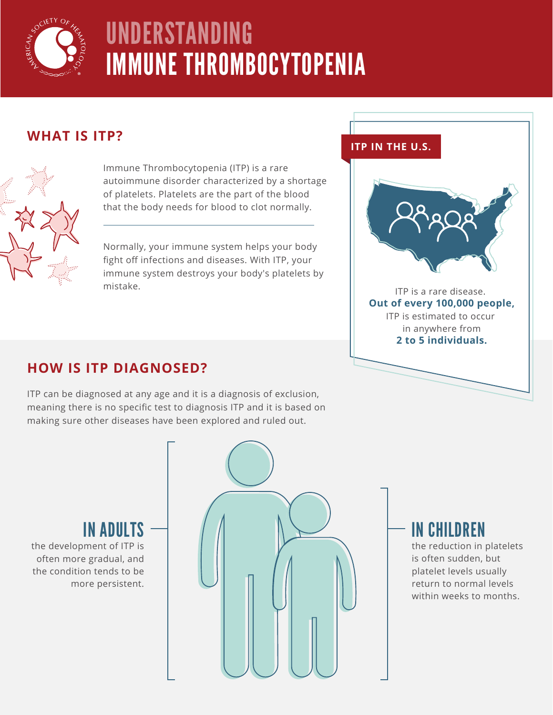

# UNDERSTANDING IMMUNE THROMBOCYTOPENIA

### **WHAT IS ITP?**



Immune Thrombocytopenia (ITP) is a rare autoimmune disorder characterized by a shortage of platelets. Platelets are the part of the blood that the body needs for blood to clot normally.

Normally, your immune system helps your body fight off infections and diseases. With ITP, your immune system destroys your body's platelets by mistake.

#### **ITP IN THE U.S.**



ITP is a rare disease. **Out of every 100,000 people,** ITP is estimated to occur in anywhere from **2 to 5 individuals.**

## **HOW IS ITP DIAGNOSED?**

ITP can be diagnosed at any age and it is a diagnosis of exclusion, meaning there is no specific test to diagnosis ITP and it is based on making sure other diseases have been explored and ruled out.

# IN ADULTS

the development of ITP is often more gradual, and the condition tends to be more persistent.



# IN CHILDREN

the reduction in platelets is often sudden, but platelet levels usually return to normal levels within weeks to months.